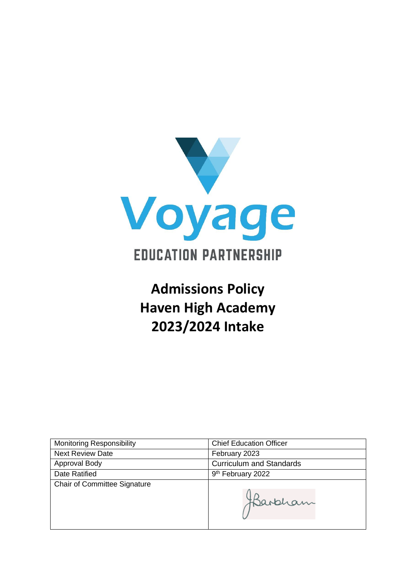

# **Admissions Policy Haven High Academy 2023/2024 Intake**

| <b>Monitoring Responsibility</b>    | <b>Chief Education Officer</b>  |
|-------------------------------------|---------------------------------|
| <b>Next Review Date</b>             | February 2023                   |
| Approval Body                       | <b>Curriculum and Standards</b> |
| Date Ratified                       | 9 <sup>th</sup> February 2022   |
| <b>Chair of Committee Signature</b> |                                 |
|                                     | Harbham                         |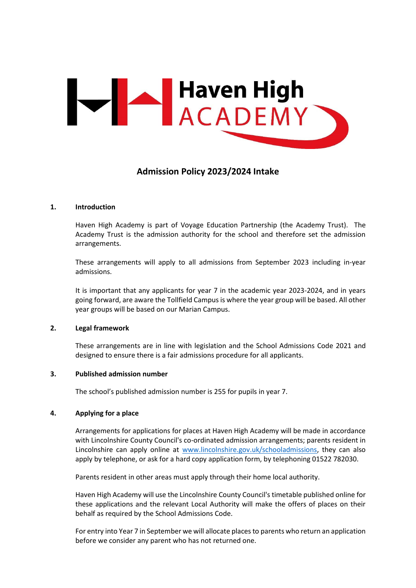

## **Admission Policy 2023/2024 Intake**

#### **1. Introduction**

Haven High Academy is part of Voyage Education Partnership (the Academy Trust). The Academy Trust is the admission authority for the school and therefore set the admission arrangements.

These arrangements will apply to all admissions from September 2023 including in-year admissions.

It is important that any applicants for year 7 in the academic year 2023-2024, and in years going forward, are aware the Tollfield Campus is where the year group will be based. All other year groups will be based on our Marian Campus.

#### **2. Legal framework**

These arrangements are in line with legislation and the School Admissions Code 2021 and designed to ensure there is a fair admissions procedure for all applicants.

#### **3. Published admission number**

The school's published admission number is 255 for pupils in year 7.

#### **4. Applying for a place**

Arrangements for applications for places at Haven High Academy will be made in accordance with Lincolnshire County Council's co-ordinated admission arrangements; parents resident in Lincolnshire can apply online at [www.lincolnshire.gov.uk/schooladmissions,](http://www.lincolnshire.gov.uk/schooladmissions) they can also apply by telephone, or ask for a hard copy application form, by telephoning 01522 782030.

Parents resident in other areas must apply through their home local authority.

Haven High Academy will use the Lincolnshire County Council's timetable published online for these applications and the relevant Local Authority will make the offers of places on their behalf as required by the School Admissions Code.

For entry into Year 7 in September we will allocate places to parents who return an application before we consider any parent who has not returned one.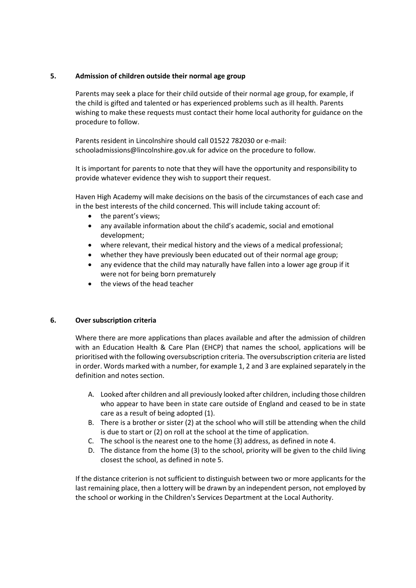### **5. Admission of children outside their normal age group**

Parents may seek a place for their child outside of their normal age group, for example, if the child is gifted and talented or has experienced problems such as ill health. Parents wishing to make these requests must contact their home local authority for guidance on the procedure to follow.

Parents resident in Lincolnshire should call 01522 782030 or e-mail: schooladmissions@lincolnshire.gov.uk for advice on the procedure to follow.

It is important for parents to note that they will have the opportunity and responsibility to provide whatever evidence they wish to support their request.

Haven High Academy will make decisions on the basis of the circumstances of each case and in the best interests of the child concerned. This will include taking account of:

- the parent's views;
- any available information about the child's academic, social and emotional development;
- where relevant, their medical history and the views of a medical professional;
- whether they have previously been educated out of their normal age group;
- any evidence that the child may naturally have fallen into a lower age group if it were not for being born prematurely
- the views of the head teacher

#### **6. Over subscription criteria**

Where there are more applications than places available and after the admission of children with an Education Health & Care Plan (EHCP) that names the school, applications will be prioritised with the following oversubscription criteria. The oversubscription criteria are listed in order. Words marked with a number, for example 1, 2 and 3 are explained separately in the definition and notes section.

- A. Looked after children and all previously looked after children, including those children who appear to have been in state care outside of England and ceased to be in state care as a result of being adopted (1).
- B. There is a brother or sister (2) at the school who will still be attending when the child is due to start or (2) on roll at the school at the time of application.
- C. The school is the nearest one to the home (3) address, as defined in note 4.
- D. The distance from the home (3) to the school, priority will be given to the child living closest the school, as defined in note 5.

If the distance criterion is not sufficient to distinguish between two or more applicants for the last remaining place, then a lottery will be drawn by an independent person, not employed by the school or working in the Children's Services Department at the Local Authority.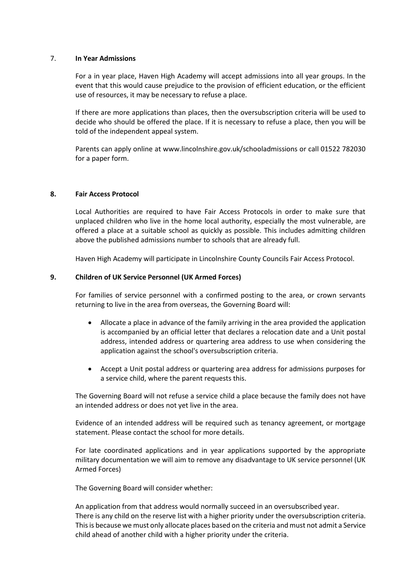#### 7. **In Year Admissions**

For a in year place, Haven High Academy will accept admissions into all year groups. In the event that this would cause prejudice to the provision of efficient education, or the efficient use of resources, it may be necessary to refuse a place.

If there are more applications than places, then the oversubscription criteria will be used to decide who should be offered the place. If it is necessary to refuse a place, then you will be told of the independent appeal system.

Parents can apply online at www.lincolnshire.gov.uk/schooladmissions or call 01522 782030 for a paper form.

#### **8. Fair Access Protocol**

Local Authorities are required to have Fair Access Protocols in order to make sure that unplaced children who live in the home local authority, especially the most vulnerable, are offered a place at a suitable school as quickly as possible. This includes admitting children above the published admissions number to schools that are already full.

Haven High Academy will participate in Lincolnshire County Councils Fair Access Protocol.

#### **9. Children of UK Service Personnel (UK Armed Forces)**

For families of service personnel with a confirmed posting to the area, or crown servants returning to live in the area from overseas, the Governing Board will:

- Allocate a place in advance of the family arriving in the area provided the application is accompanied by an official letter that declares a relocation date and a Unit postal address, intended address or quartering area address to use when considering the application against the school's oversubscription criteria.
- Accept a Unit postal address or quartering area address for admissions purposes for a service child, where the parent requests this.

The Governing Board will not refuse a service child a place because the family does not have an intended address or does not yet live in the area.

Evidence of an intended address will be required such as tenancy agreement, or mortgage statement. Please contact the school for more details.

For late coordinated applications and in year applications supported by the appropriate military documentation we will aim to remove any disadvantage to UK service personnel (UK Armed Forces)

The Governing Board will consider whether:

An application from that address would normally succeed in an oversubscribed year. There is any child on the reserve list with a higher priority under the oversubscription criteria. This is because we must only allocate places based on the criteria and must not admit a Service child ahead of another child with a higher priority under the criteria.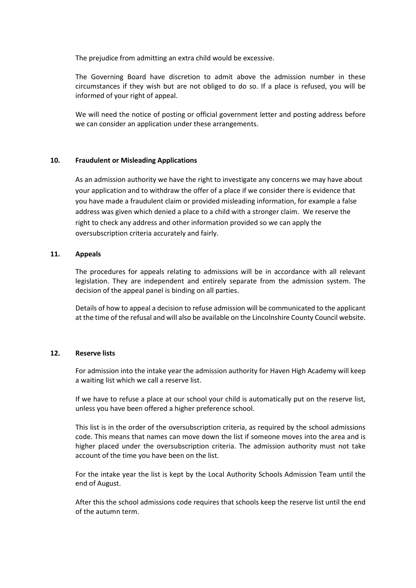The prejudice from admitting an extra child would be excessive.

The Governing Board have discretion to admit above the admission number in these circumstances if they wish but are not obliged to do so. If a place is refused, you will be informed of your right of appeal.

We will need the notice of posting or official government letter and posting address before we can consider an application under these arrangements.

#### **10. Fraudulent or Misleading Applications**

As an admission authority we have the right to investigate any concerns we may have about your application and to withdraw the offer of a place if we consider there is evidence that you have made a fraudulent claim or provided misleading information, for example a false address was given which denied a place to a child with a stronger claim. We reserve the right to check any address and other information provided so we can apply the oversubscription criteria accurately and fairly.

#### **11. Appeals**

The procedures for appeals relating to admissions will be in accordance with all relevant legislation. They are independent and entirely separate from the admission system. The decision of the appeal panel is binding on all parties.

Details of how to appeal a decision to refuse admission will be communicated to the applicant at the time of the refusal and will also be available on the Lincolnshire County Council website.

#### **12. Reserve lists**

For admission into the intake year the admission authority for Haven High Academy will keep a waiting list which we call a reserve list.

If we have to refuse a place at our school your child is automatically put on the reserve list, unless you have been offered a higher preference school.

This list is in the order of the oversubscription criteria, as required by the school admissions code. This means that names can move down the list if someone moves into the area and is higher placed under the oversubscription criteria. The admission authority must not take account of the time you have been on the list.

For the intake year the list is kept by the Local Authority Schools Admission Team until the end of August.

After this the school admissions code requires that schools keep the reserve list until the end of the autumn term.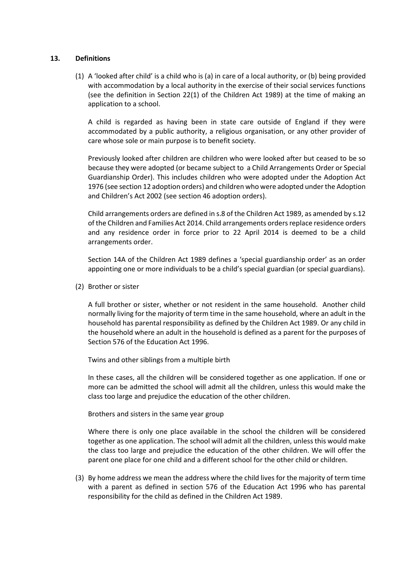#### **13. Definitions**

(1) A 'looked after child' is a child who is (a) in care of a local authority, or (b) being provided with accommodation by a local authority in the exercise of their social services functions (see the definition in Section 22(1) of the Children Act 1989) at the time of making an application to a school.

A child is regarded as having been in state care outside of England if they were accommodated by a public authority, a religious organisation, or any other provider of care whose sole or main purpose is to benefit society.

Previously looked after children are children who were looked after but ceased to be so because they were adopted (or became subject to a Child Arrangements Order or Special Guardianship Order). This includes children who were adopted under the Adoption Act 1976 (see section 12 adoption orders) and children who were adopted under the Adoption and Children's Act 2002 (see section 46 adoption orders).

Child arrangements orders are defined in s.8 of the Children Act 1989, as amended by s.12 of the Children and Families Act 2014. Child arrangements orders replace residence orders and any residence order in force prior to 22 April 2014 is deemed to be a child arrangements order.

Section 14A of the Children Act 1989 defines a 'special guardianship order' as an order appointing one or more individuals to be a child's special guardian (or special guardians).

(2) Brother or sister

A full brother or sister, whether or not resident in the same household. Another child normally living for the majority of term time in the same household, where an adult in the household has parental responsibility as defined by the Children Act 1989. Or any child in the household where an adult in the household is defined as a parent for the purposes of Section 576 of the Education Act 1996.

Twins and other siblings from a multiple birth

In these cases, all the children will be considered together as one application. If one or more can be admitted the school will admit all the children, unless this would make the class too large and prejudice the education of the other children.

Brothers and sisters in the same year group

Where there is only one place available in the school the children will be considered together as one application. The school will admit all the children, unless this would make the class too large and prejudice the education of the other children. We will offer the parent one place for one child and a different school for the other child or children.

(3) By home address we mean the address where the child lives for the majority of term time with a parent as defined in section 576 of the Education Act 1996 who has parental responsibility for the child as defined in the Children Act 1989.